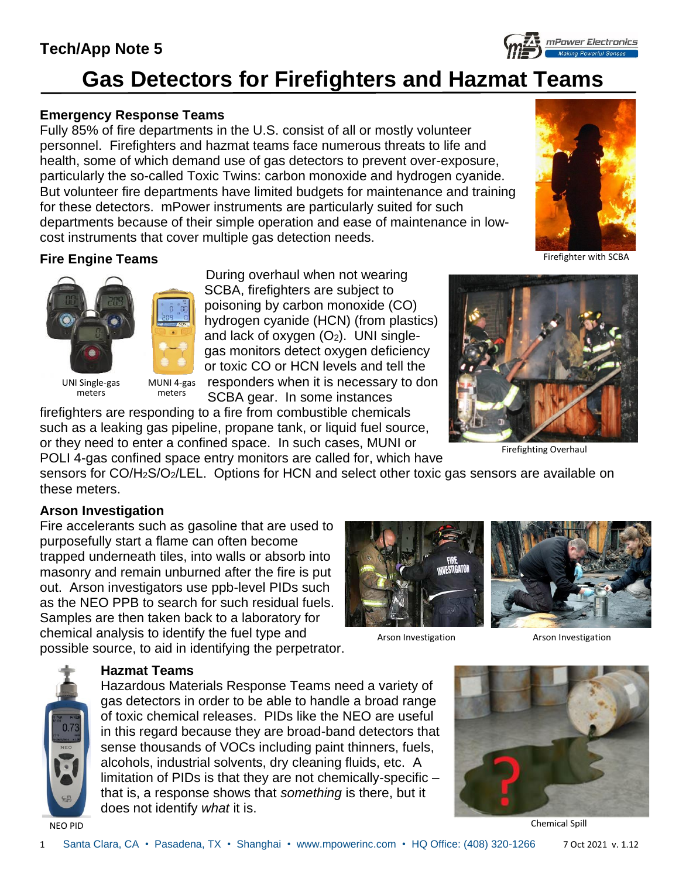# **Tech/App Note 5**



#### **Emergency Response Teams**

Fully 85% of fire departments in the U.S. consist of all or mostly volunteer personnel. Firefighters and hazmat teams face numerous threats to life and health, some of which demand use of gas detectors to prevent over-exposure, particularly the so-called Toxic Twins: carbon monoxide and hydrogen cyanide. But volunteer fire departments have limited budgets for maintenance and training for these detectors. mPower instruments are particularly suited for such departments because of their simple operation and ease of maintenance in lowcost instruments that cover multiple gas detection needs.



mPower Electronics

Firefighter with SCBA

## **Fire Engine Teams**



UNI Single-gas meters



meters

 During overhaul when not wearing SCBA, firefighters are subject to poisoning by carbon monoxide (CO) hydrogen cyanide (HCN) (from plastics) and lack of oxygen  $(O_2)$ . UNI singlegas monitors detect oxygen deficiency or toxic CO or HCN levels and tell the responders when it is necessary to don SCBA gear. In some instances

firefighters are responding to a fire from combustible chemicals such as a leaking gas pipeline, propane tank, or liquid fuel source, or they need to enter a confined space. In such cases, MUNI or

POLI 4-gas confined space entry monitors are called for, which have sensors for CO/H2S/O2/LEL. Options for HCN and select other toxic gas sensors are available on these meters.

## **Arson Investigation**

Fire accelerants such as gasoline that are used to purposefully start a flame can often become trapped underneath tiles, into walls or absorb into masonry and remain unburned after the fire is put out. Arson investigators use ppb-level PIDs such as the NEO PPB to search for such residual fuels. Samples are then taken back to a laboratory for chemical analysis to identify the fuel type and possible source, to aid in identifying the perpetrator.



Arson Investigation Arson Investigation





#### **Hazmat Teams**

Hazardous Materials Response Teams need a variety of gas detectors in order to be able to handle a broad range of toxic chemical releases. PIDs like the NEO are useful in this regard because they are broad-band detectors that sense thousands of VOCs including paint thinners, fuels, alcohols, industrial solvents, dry cleaning fluids, etc. A limitation of PIDs is that they are not chemically-specific – that is, a response shows that *something* is there, but it does not identify *what* it is.

NEO PID



Chemical Spill



Firefighting Overhaul

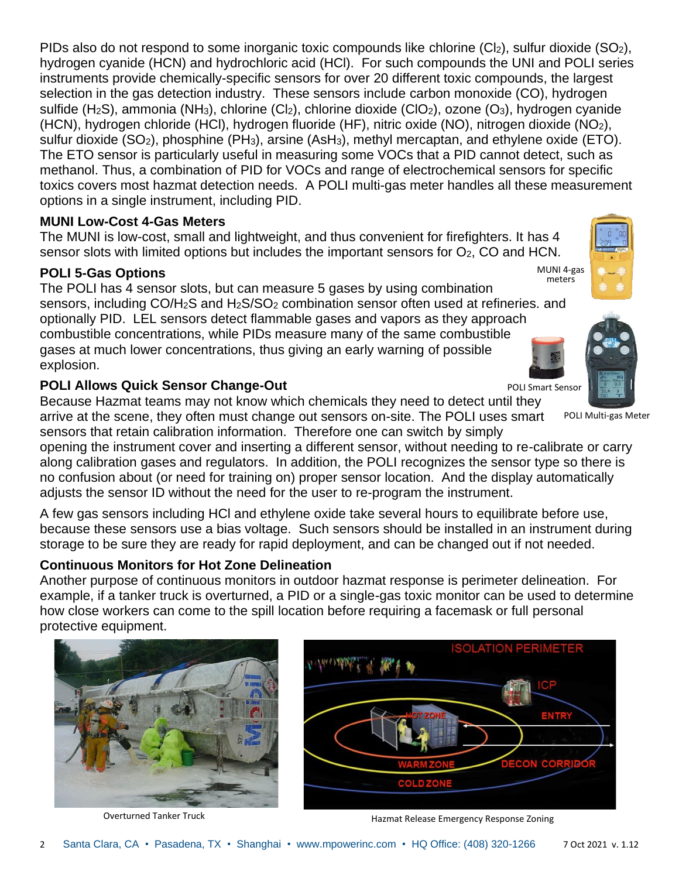PIDs also do not respond to some inorganic toxic compounds like chlorine  $(CI_2)$ , sulfur dioxide  $(SO_2)$ , hydrogen cyanide (HCN) and hydrochloric acid (HCl). For such compounds the UNI and POLI series instruments provide chemically-specific sensors for over 20 different toxic compounds, the largest selection in the gas detection industry. These sensors include carbon monoxide (CO), hydrogen sulfide (H<sub>2</sub>S), ammonia (NH<sub>3</sub>), chlorine (Cl<sub>2</sub>), chlorine dioxide (ClO<sub>2</sub>), ozone (O<sub>3</sub>), hydrogen cyanide (HCN), hydrogen chloride (HCl), hydrogen fluoride (HF), nitric oxide (NO), nitrogen dioxide (NO2), sulfur dioxide (SO<sub>2</sub>), phosphine (PH<sub>3</sub>), arsine (AsH<sub>3</sub>), methyl mercaptan, and ethylene oxide (ETO). The ETO sensor is particularly useful in measuring some VOCs that a PID cannot detect, such as methanol. Thus, a combination of PID for VOCs and range of electrochemical sensors for specific toxics covers most hazmat detection needs. A POLI multi-gas meter handles all these measurement options in a single instrument, including PID.

#### **MUNI Low-Cost 4-Gas Meters**

The MUNI is low-cost, small and lightweight, and thus convenient for firefighters. It has 4 sensor slots with limited options but includes the important sensors for O2, CO and HCN.

## **POLI 5-Gas Options**

The POLI has 4 sensor slots, but can measure 5 gases by using combination sensors, including CO/H<sub>2</sub>S and H<sub>2</sub>S/SO<sub>2</sub> combination sensor often used at refineries. and optionally PID. LEL sensors detect flammable gases and vapors as they approach combustible concentrations, while PIDs measure many of the same combustible gases at much lower concentrations, thus giving an early warning of possible explosion. meters

# **POLI Allows Quick Sensor Change-Out**

Because Hazmat teams may not know which chemicals they need to detect until they arrive at the scene, they often must change out sensors on-site. The POLI uses smart sensors that retain calibration information. Therefore one can switch by simply

opening the instrument cover and inserting a different sensor, without needing to re-calibrate or carry along calibration gases and regulators. In addition, the POLI recognizes the sensor type so there is no confusion about (or need for training on) proper sensor location. And the display automatically adjusts the sensor ID without the need for the user to re-program the instrument.

A few gas sensors including HCl and ethylene oxide take several hours to equilibrate before use, because these sensors use a bias voltage. Such sensors should be installed in an instrument during storage to be sure they are ready for rapid deployment, and can be changed out if not needed.

# **Continuous Monitors for Hot Zone Delineation**

Another purpose of continuous monitors in outdoor hazmat response is perimeter delineation. For example, if a tanker truck is overturned, a PID or a single-gas toxic monitor can be used to determine how close workers can come to the spill location before requiring a facemask or full personal protective equipment.



POLI Smart Sensor

POLI Multi-gas Meter